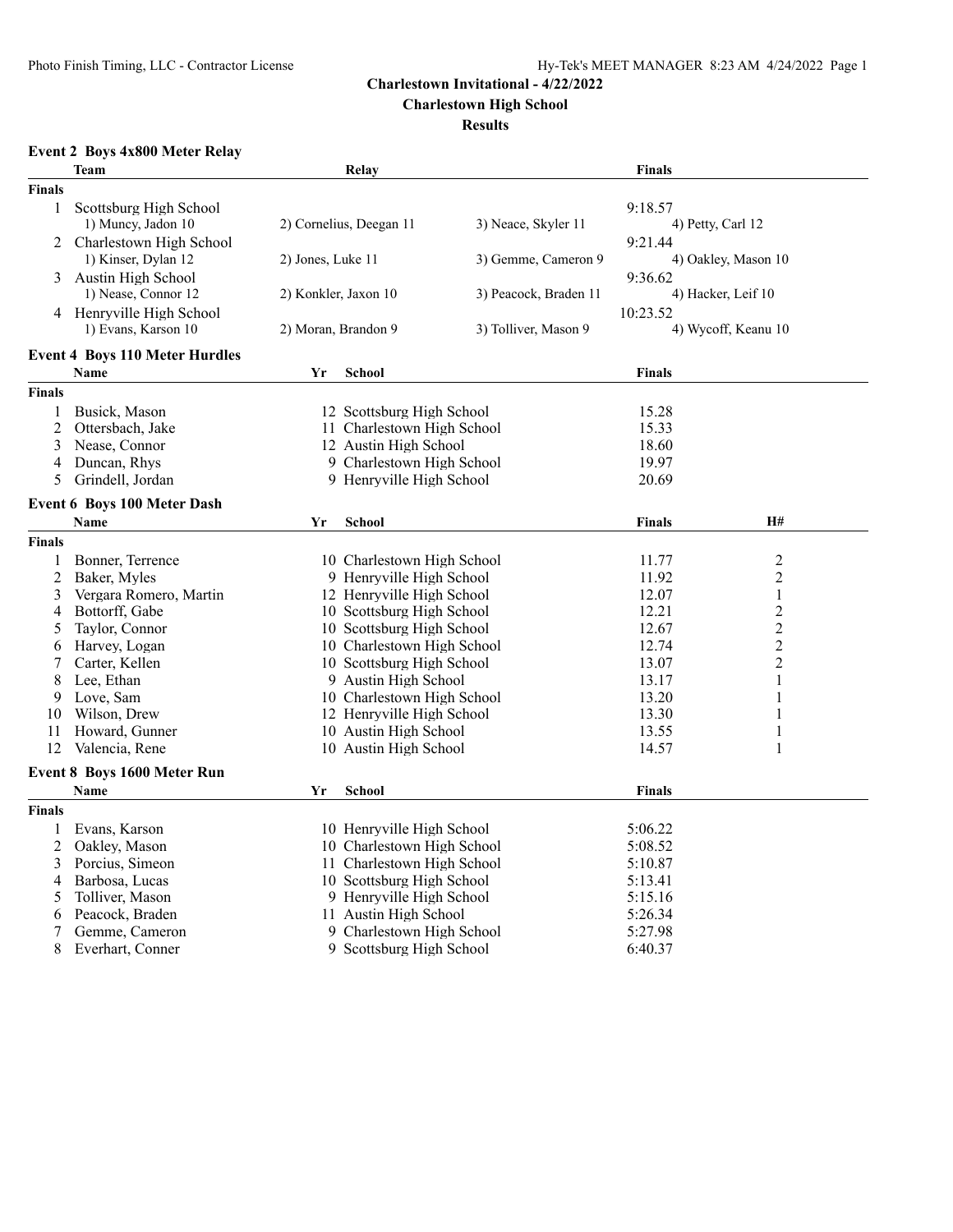**Charlestown High School**

**Results**

# **Event 2 Boys 4x800 Meter Relay**

|                | <b>Team</b>                           |                      | Relay                      |                       | <b>Finals</b>       |                     |
|----------------|---------------------------------------|----------------------|----------------------------|-----------------------|---------------------|---------------------|
| <b>Finals</b>  |                                       |                      |                            |                       |                     |                     |
| $\mathbf{1}$   | Scottsburg High School                |                      |                            |                       | 9:18.57             |                     |
|                | 1) Muncy, Jadon 10                    |                      | 2) Cornelius, Deegan 11    | 3) Neace, Skyler 11   | 4) Petty, Carl 12   |                     |
| 2              | Charlestown High School               |                      |                            |                       | 9:21.44             |                     |
|                | 1) Kinser, Dylan 12                   | 2) Jones, Luke 11    |                            | 3) Gemme, Cameron 9   | 4) Oakley, Mason 10 |                     |
| 3              | Austin High School                    |                      |                            |                       | 9:36.62             |                     |
|                | 1) Nease, Connor 12                   | 2) Konkler, Jaxon 10 |                            | 3) Peacock, Braden 11 |                     | 4) Hacker, Leif 10  |
|                | 4 Henryville High School              |                      |                            |                       | 10:23.52            |                     |
|                | 1) Evans, Karson 10                   | 2) Moran, Brandon 9  |                            | 3) Tolliver, Mason 9  |                     | 4) Wycoff, Keanu 10 |
|                | <b>Event 4 Boys 110 Meter Hurdles</b> |                      |                            |                       |                     |                     |
|                | Name                                  | Yr                   | School                     |                       | <b>Finals</b>       |                     |
| Finals         |                                       |                      |                            |                       |                     |                     |
| 1              | Busick, Mason                         |                      | 12 Scottsburg High School  |                       | 15.28               |                     |
| $\overline{c}$ | Ottersbach, Jake                      |                      | 11 Charlestown High School |                       | 15.33               |                     |
| 3              | Nease, Connor                         |                      | 12 Austin High School      |                       | 18.60               |                     |
| 4              | Duncan, Rhys                          |                      | 9 Charlestown High School  |                       | 19.97               |                     |
| 5              | Grindell, Jordan                      |                      | 9 Henryville High School   |                       | 20.69               |                     |
|                | Event 6 Boys 100 Meter Dash           |                      |                            |                       |                     |                     |
|                | Name                                  | Yr                   | <b>School</b>              |                       | <b>Finals</b>       | H#                  |
| <b>Finals</b>  |                                       |                      |                            |                       |                     |                     |
| 1              | Bonner, Terrence                      |                      | 10 Charlestown High School |                       | 11.77               | 2                   |
| $\overline{2}$ | Baker, Myles                          |                      | 9 Henryville High School   |                       | 11.92               | $\overline{c}$      |
| 3              | Vergara Romero, Martin                |                      | 12 Henryville High School  |                       | 12.07               | $\mathbf{1}$        |
|                | Bottorff, Gabe                        |                      | 10 Scottsburg High School  |                       | 12.21               | $\overline{c}$      |
| 4              |                                       |                      |                            |                       |                     |                     |
| 5              | Taylor, Connor                        |                      | 10 Scottsburg High School  |                       | 12.67               | $\overline{c}$      |
| 6              | Harvey, Logan                         |                      | 10 Charlestown High School |                       | 12.74               | $\overline{c}$      |
|                | Carter, Kellen                        |                      | 10 Scottsburg High School  |                       | 13.07               | $\overline{c}$      |
| 8              | Lee, Ethan                            |                      | 9 Austin High School       |                       | 13.17               | $\mathbf{1}$        |
| 9              | Love, Sam                             |                      | 10 Charlestown High School |                       | 13.20               | 1                   |
| 10             | Wilson, Drew                          |                      | 12 Henryville High School  |                       | 13.30               | 1                   |
| 11             | Howard, Gunner                        |                      | 10 Austin High School      |                       | 13.55               | $\mathbf{1}$        |
| 12             | Valencia, Rene                        |                      | 10 Austin High School      |                       | 14.57               | 1                   |
|                | Event 8 Boys 1600 Meter Run           |                      |                            |                       |                     |                     |
|                | Name                                  | Yr                   | School                     |                       | <b>Finals</b>       |                     |
| Finals         |                                       |                      |                            |                       |                     |                     |
| 1              | Evans, Karson                         |                      | 10 Henryville High School  |                       | 5:06.22             |                     |
| $\overline{c}$ | Oakley, Mason                         |                      | 10 Charlestown High School |                       | 5:08.52             |                     |
| 3              | Porcius, Simeon                       |                      | 11 Charlestown High School |                       | 5:10.87             |                     |
| 4              | Barbosa, Lucas                        |                      | 10 Scottsburg High School  |                       | 5:13.41             |                     |
| 5              | Tolliver, Mason                       |                      | 9 Henryville High School   |                       | 5:15.16             |                     |
| 6              | Peacock, Braden                       |                      | 11 Austin High School      |                       | 5:26.34             |                     |
| 7              | Gemme, Cameron                        |                      | 9 Charlestown High School  |                       | 5:27.98             |                     |
| 8              | Everhart, Conner                      |                      | 9 Scottsburg High School   |                       | 6:40.37             |                     |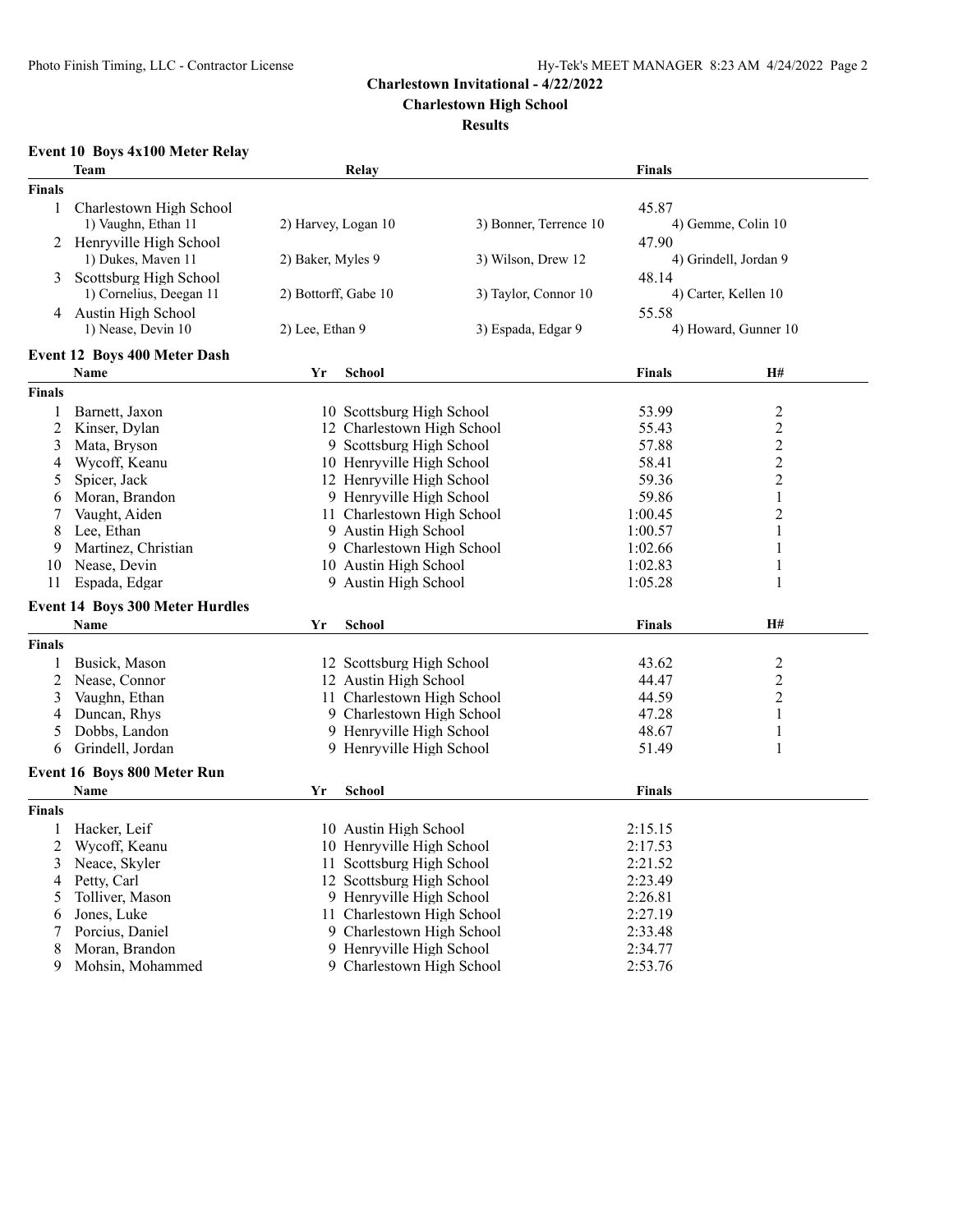**Charlestown High School**

#### **Results**

# **Event 10 Boys 4x100 Meter Relay**

|                | <b>Team</b>                            |                      | Relay                      |                           | <b>Finals</b>         |                      |  |  |
|----------------|----------------------------------------|----------------------|----------------------------|---------------------------|-----------------------|----------------------|--|--|
| <b>Finals</b>  |                                        |                      |                            |                           |                       |                      |  |  |
| $\mathbf{1}$   | Charlestown High School                |                      |                            |                           | 45.87                 |                      |  |  |
|                | 1) Vaughn, Ethan 11                    | 2) Harvey, Logan 10  | 3) Bonner, Terrence 10     |                           | 4) Gemme, Colin 10    |                      |  |  |
|                | 2 Henryville High School               |                      |                            |                           | 47.90                 |                      |  |  |
|                | 1) Dukes, Maven 11                     | 2) Baker, Myles 9    |                            | 3) Wilson, Drew 12        | 4) Grindell, Jordan 9 |                      |  |  |
| 3              | Scottsburg High School                 |                      |                            |                           | 48.14                 |                      |  |  |
|                | 1) Cornelius, Deegan 11                | 2) Bottorff, Gabe 10 |                            | 3) Taylor, Connor 10      |                       | 4) Carter, Kellen 10 |  |  |
|                | 4 Austin High School                   |                      |                            |                           | 55.58                 |                      |  |  |
|                | 1) Nease, Devin 10                     | 2) Lee, Ethan 9      |                            | 3) Espada, Edgar 9        | 4) Howard, Gunner 10  |                      |  |  |
|                | Event 12 Boys 400 Meter Dash           |                      |                            |                           |                       |                      |  |  |
|                | <b>Name</b>                            | Yr                   | <b>School</b>              |                           | <b>Finals</b>         | <b>H#</b>            |  |  |
| <b>Finals</b>  |                                        |                      |                            |                           |                       |                      |  |  |
| 1              | Barnett, Jaxon                         |                      | 10 Scottsburg High School  |                           | 53.99                 | $\overline{2}$       |  |  |
| $\overline{2}$ | Kinser, Dylan                          |                      | 12 Charlestown High School |                           | 55.43                 | $\overline{2}$       |  |  |
| 3              | Mata, Bryson                           |                      | 9 Scottsburg High School   |                           | 57.88                 | $\overline{2}$       |  |  |
| 4              | Wycoff, Keanu                          |                      | 10 Henryville High School  |                           | 58.41                 | $\overline{c}$       |  |  |
| 5              | Spicer, Jack                           |                      |                            | 12 Henryville High School |                       | $\overline{c}$       |  |  |
| 6              | Moran, Brandon                         |                      | 9 Henryville High School   |                           | 59.86                 | $\mathbf{1}$         |  |  |
| 7              | Vaught, Aiden                          |                      | 11 Charlestown High School |                           | 1:00.45               | $\overline{c}$       |  |  |
| 8              | Lee, Ethan                             |                      | 9 Austin High School       |                           | 1:00.57               | 1                    |  |  |
| 9              | Martinez, Christian                    |                      | 9 Charlestown High School  |                           | 1:02.66               | 1                    |  |  |
| 10             | Nease, Devin                           |                      |                            | 10 Austin High School     |                       | $\mathbf{1}$         |  |  |
| 11             | Espada, Edgar                          |                      | 9 Austin High School       |                           | 1:05.28               | $\mathbf{1}$         |  |  |
|                | <b>Event 14 Boys 300 Meter Hurdles</b> |                      |                            |                           |                       |                      |  |  |
|                | <b>Name</b>                            | Yr                   | School                     |                           | <b>Finals</b>         | H#                   |  |  |
| <b>Finals</b>  |                                        |                      |                            |                           |                       |                      |  |  |
| 1              | Busick, Mason                          |                      | 12 Scottsburg High School  |                           | 43.62                 | $\overline{c}$       |  |  |
| $\overline{c}$ | Nease, Connor                          |                      | 12 Austin High School      |                           | 44.47                 | $\overline{2}$       |  |  |
| 3              | Vaughn, Ethan                          |                      | 11 Charlestown High School |                           | 44.59                 | 2                    |  |  |
| 4              | Duncan, Rhys                           |                      | 9 Charlestown High School  |                           | 47.28                 | $\mathbf{1}$         |  |  |
| 5              | Dobbs, Landon                          |                      | 9 Henryville High School   |                           | 48.67                 | $\mathbf{1}$         |  |  |
| 6              | Grindell, Jordan                       |                      | 9 Henryville High School   |                           | 51.49                 | $\mathbf{1}$         |  |  |
|                | Event 16 Boys 800 Meter Run            |                      |                            |                           |                       |                      |  |  |
|                | Name                                   | Yr                   | <b>School</b>              |                           | <b>Finals</b>         |                      |  |  |
| <b>Finals</b>  |                                        |                      |                            |                           |                       |                      |  |  |
| 1              | Hacker, Leif                           |                      | 10 Austin High School      |                           | 2:15.15               |                      |  |  |
| $\overline{c}$ | Wycoff, Keanu                          |                      | 10 Henryville High School  |                           | 2:17.53               |                      |  |  |
| 3              | Neace, Skyler                          |                      | 11 Scottsburg High School  |                           | 2:21.52               |                      |  |  |
| 4              | Petty, Carl                            |                      | 12 Scottsburg High School  |                           | 2:23.49               |                      |  |  |
| 5              | Tolliver, Mason                        |                      | 9 Henryville High School   |                           | 2:26.81               |                      |  |  |
| 6              | Jones, Luke                            |                      | 11 Charlestown High School |                           | 2:27.19               |                      |  |  |
| 7              | Porcius, Daniel                        |                      | 9 Charlestown High School  |                           | 2:33.48               |                      |  |  |
| 8              | Moran, Brandon                         |                      | 9 Henryville High School   |                           | 2:34.77               |                      |  |  |
| 9              | Mohsin, Mohammed                       |                      | 9 Charlestown High School  |                           | 2:53.76               |                      |  |  |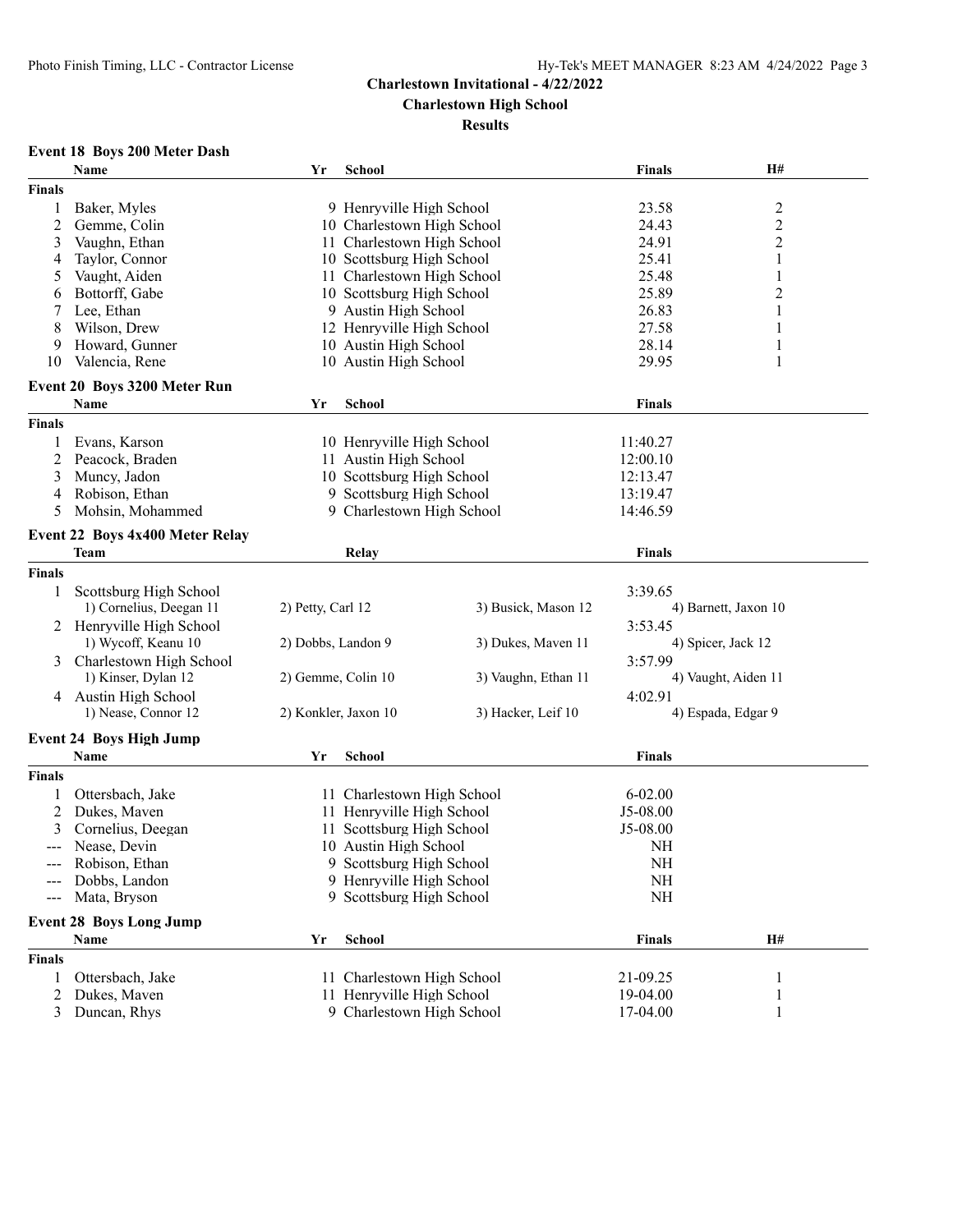**Charlestown High School**

#### **Results**

# **Event 18 Boys 200 Meter Dash**

|               | Name                            | Yr                 | <b>School</b>              |                           | <b>Finals</b>  | H#                      |
|---------------|---------------------------------|--------------------|----------------------------|---------------------------|----------------|-------------------------|
| <b>Finals</b> |                                 |                    |                            |                           |                |                         |
| 1             | Baker, Myles                    |                    | 9 Henryville High School   |                           | 23.58          | $\overline{\mathbf{c}}$ |
| 2             | Gemme, Colin                    |                    | 10 Charlestown High School |                           | 24.43          | $\overline{c}$          |
| 3             | Vaughn, Ethan                   |                    | 11 Charlestown High School |                           | 24.91          | $\overline{c}$          |
| 4             | Taylor, Connor                  |                    |                            | 10 Scottsburg High School |                | 1                       |
| 5             | Vaught, Aiden                   |                    | 11 Charlestown High School |                           | 25.41<br>25.48 | 1                       |
| 6             | Bottorff, Gabe                  |                    | 10 Scottsburg High School  |                           | 25.89          | $\overline{2}$          |
| 7             | Lee, Ethan                      |                    | 9 Austin High School       |                           | 26.83          | 1                       |
| 8             | Wilson, Drew                    |                    | 12 Henryville High School  |                           | 27.58          | $\mathbf{1}$            |
| 9             | Howard, Gunner                  |                    | 10 Austin High School      |                           | 28.14          | 1                       |
| 10            | Valencia, Rene                  |                    | 10 Austin High School      |                           | 29.95          | 1                       |
|               |                                 |                    |                            |                           |                |                         |
|               | Event 20 Boys 3200 Meter Run    |                    |                            |                           |                |                         |
|               | Name                            | Yr                 | <b>School</b>              |                           | <b>Finals</b>  |                         |
| <b>Finals</b> |                                 |                    |                            |                           |                |                         |
|               | Evans, Karson                   |                    | 10 Henryville High School  |                           | 11:40.27       |                         |
| 2             | Peacock, Braden                 |                    | 11 Austin High School      |                           | 12:00.10       |                         |
| 3             | Muncy, Jadon                    |                    | 10 Scottsburg High School  |                           | 12:13.47       |                         |
| 4             | Robison, Ethan                  |                    | 9 Scottsburg High School   |                           | 13:19.47       |                         |
| 5             | Mohsin, Mohammed                |                    | 9 Charlestown High School  |                           | 14:46.59       |                         |
|               |                                 |                    |                            |                           |                |                         |
|               | Event 22 Boys 4x400 Meter Relay |                    |                            |                           |                |                         |
|               | <b>Team</b>                     |                    | Relay                      |                           | <b>Finals</b>  |                         |
| <b>Finals</b> |                                 |                    |                            |                           |                |                         |
| 1             | Scottsburg High School          |                    |                            |                           | 3:39.65        |                         |
|               | 1) Cornelius, Deegan 11         | 2) Petty, Carl 12  | 3) Busick, Mason 12        |                           |                | 4) Barnett, Jaxon 10    |
| 2             | Henryville High School          |                    |                            |                           | 3:53.45        |                         |
|               | 1) Wycoff, Keanu 10             | 2) Dobbs, Landon 9 |                            | 3) Dukes, Maven 11        |                | 4) Spicer, Jack 12      |
| 3             | Charlestown High School         |                    |                            |                           | 3:57.99        |                         |
|               | 1) Kinser, Dylan 12             | 2) Gemme, Colin 10 |                            | 3) Vaughn, Ethan 11       |                | 4) Vaught, Aiden 11     |
| 4             | Austin High School              |                    |                            |                           | 4:02.91        |                         |
|               | 1) Nease, Connor 12             |                    | 2) Konkler, Jaxon 10       | 3) Hacker, Leif 10        |                | 4) Espada, Edgar 9      |
|               | <b>Event 24 Boys High Jump</b>  |                    |                            |                           |                |                         |
|               | Name                            |                    |                            |                           |                |                         |
|               |                                 | Yr                 | <b>School</b>              |                           | <b>Finals</b>  |                         |
| <b>Finals</b> |                                 |                    |                            |                           |                |                         |
|               | Ottersbach, Jake                |                    | 11 Charlestown High School |                           | $6 - 02.00$    |                         |
| 2             | Dukes, Maven                    |                    | 11 Henryville High School  |                           | J5-08.00       |                         |
| 3             | Cornelius, Deegan               |                    | 11 Scottsburg High School  |                           | J5-08.00       |                         |
| $---$         | Nease, Devin                    |                    | 10 Austin High School      |                           | NH             |                         |
|               | Robison, Ethan                  |                    | 9 Scottsburg High School   |                           | <b>NH</b>      |                         |
|               | Dobbs, Landon                   |                    | 9 Henryville High School   |                           | NH             |                         |
|               | Mata, Bryson                    |                    | 9 Scottsburg High School   |                           | $\rm NH$       |                         |
|               | <b>Event 28 Boys Long Jump</b>  |                    |                            |                           |                |                         |
|               | Name                            | Yr                 | School                     |                           | <b>Finals</b>  | H#                      |
| <b>Finals</b> |                                 |                    |                            |                           |                |                         |
|               |                                 |                    |                            |                           |                |                         |
| 1             | Ottersbach, Jake                |                    | 11 Charlestown High School |                           | 21-09.25       | 1                       |
| 2             | Dukes, Maven                    |                    | 11 Henryville High School  |                           | 19-04.00       | 1                       |
| 3             | Duncan, Rhys                    |                    | 9 Charlestown High School  |                           | 17-04.00       | 1                       |